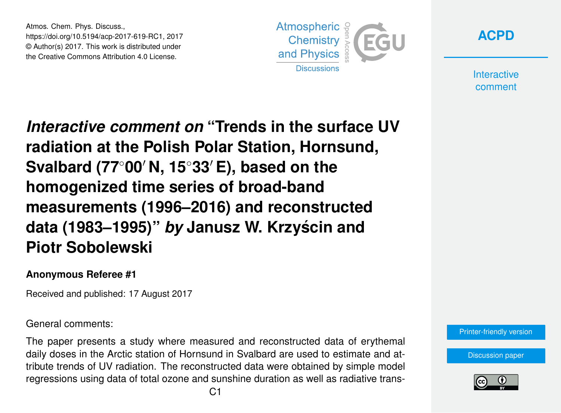Atmos. Chem. Phys. Discuss., https://doi.org/10.5194/acp-2017-619-RC1, 2017 © Author(s) 2017. This work is distributed under the Creative Commons Attribution 4.0 License.



**[ACPD](https://www.atmos-chem-phys-discuss.net/)**

**Interactive** comment

*Interactive comment on* **"Trends in the surface UV radiation at the Polish Polar Station, Hornsund, Svalbard (77<sup>◦</sup>00′ N, 15<sup>◦</sup>33′ E), based on the homogenized time series of broad-band measurements (1996–2016) and reconstructed data (1983–1995)"** *by* **Janusz W. Krzyscin and ´ Piotr Sobolewski**

## **Anonymous Referee #1**

Received and published: 17 August 2017

General comments:

The paper presents a study where measured and reconstructed data of erythemal daily doses in the Arctic station of Hornsund in Svalbard are used to estimate and attribute trends of UV radiation. The reconstructed data were obtained by simple model regressions using data of total ozone and sunshine duration as well as radiative trans-



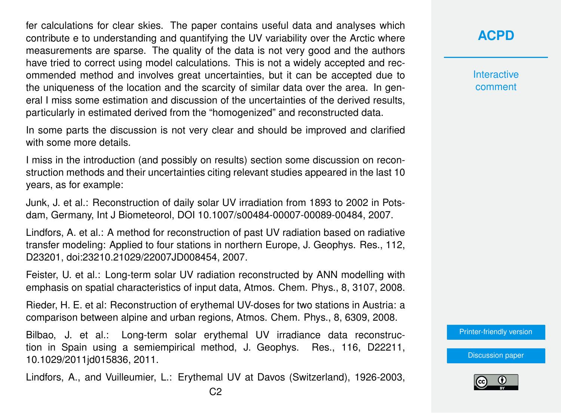fer calculations for clear skies. The paper contains useful data and analyses which contribute e to understanding and quantifying the UV variability over the Arctic where measurements are sparse. The quality of the data is not very good and the authors have tried to correct using model calculations. This is not a widely accepted and recommended method and involves great uncertainties, but it can be accepted due to the uniqueness of the location and the scarcity of similar data over the area. In general I miss some estimation and discussion of the uncertainties of the derived results, particularly in estimated derived from the "homogenized" and reconstructed data.

In some parts the discussion is not very clear and should be improved and clarified with some more details.

I miss in the introduction (and possibly on results) section some discussion on reconstruction methods and their uncertainties citing relevant studies appeared in the last 10 years, as for example:

Junk, J. et al.: Reconstruction of daily solar UV irradiation from 1893 to 2002 in Potsdam, Germany, Int J Biometeorol, DOI 10.1007/s00484-00007-00089-00484, 2007.

Lindfors, A. et al.: A method for reconstruction of past UV radiation based on radiative transfer modeling: Applied to four stations in northern Europe, J. Geophys. Res., 112, D23201, doi:23210.21029/22007JD008454, 2007.

Feister, U. et al.: Long-term solar UV radiation reconstructed by ANN modelling with emphasis on spatial characteristics of input data, Atmos. Chem. Phys., 8, 3107, 2008.

Rieder, H. E. et al: Reconstruction of erythemal UV-doses for two stations in Austria: a comparison between alpine and urban regions, Atmos. Chem. Phys., 8, 6309, 2008.

Bilbao, J. et al.: Long-term solar erythemal UV irradiance data reconstruction in Spain using a semiempirical method, J. Geophys. Res., 116, D22211, 10.1029/2011jd015836, 2011.

Lindfors, A., and Vuilleumier, L.: Erythemal UV at Davos (Switzerland), 1926-2003,

**Interactive** comment

[Printer-friendly version](https://www.atmos-chem-phys-discuss.net/acp-2017-619/acp-2017-619-RC1-print.pdf)

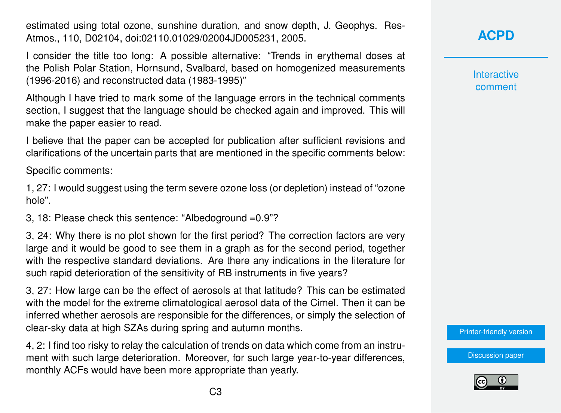estimated using total ozone, sunshine duration, and snow depth, J. Geophys. Res-Atmos., 110, D02104, doi:02110.01029/02004JD005231, 2005.

I consider the title too long: A possible alternative: "Trends in erythemal doses at the Polish Polar Station, Hornsund, Svalbard, based on homogenized measurements (1996-2016) and reconstructed data (1983-1995)"

Although I have tried to mark some of the language errors in the technical comments section, I suggest that the language should be checked again and improved. This will make the paper easier to read.

I believe that the paper can be accepted for publication after sufficient revisions and clarifications of the uncertain parts that are mentioned in the specific comments below:

Specific comments:

1, 27: I would suggest using the term severe ozone loss (or depletion) instead of "ozone hole".

3, 18: Please check this sentence: "Albedoground =0.9"?

3, 24: Why there is no plot shown for the first period? The correction factors are very large and it would be good to see them in a graph as for the second period, together with the respective standard deviations. Are there any indications in the literature for such rapid deterioration of the sensitivity of RB instruments in five years?

3, 27: How large can be the effect of aerosols at that latitude? This can be estimated with the model for the extreme climatological aerosol data of the Cimel. Then it can be inferred whether aerosols are responsible for the differences, or simply the selection of clear-sky data at high SZAs during spring and autumn months.

4, 2: I find too risky to relay the calculation of trends on data which come from an instrument with such large deterioration. Moreover, for such large year-to-year differences, monthly ACFs would have been more appropriate than yearly.

**Interactive** comment

[Printer-friendly version](https://www.atmos-chem-phys-discuss.net/acp-2017-619/acp-2017-619-RC1-print.pdf)

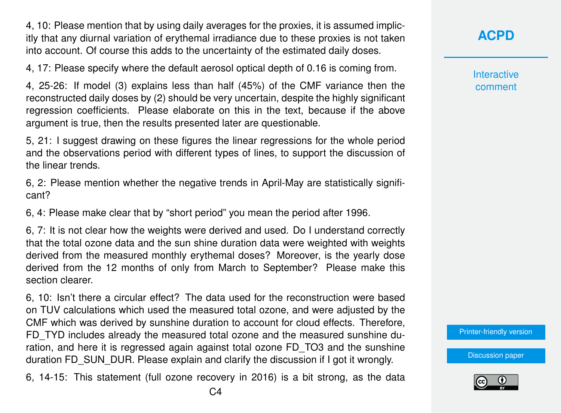4, 10: Please mention that by using daily averages for the proxies, it is assumed implicitly that any diurnal variation of erythemal irradiance due to these proxies is not taken into account. Of course this adds to the uncertainty of the estimated daily doses.

4, 17: Please specify where the default aerosol optical depth of 0.16 is coming from.

4, 25-26: If model (3) explains less than half (45%) of the CMF variance then the reconstructed daily doses by (2) should be very uncertain, despite the highly significant regression coefficients. Please elaborate on this in the text, because if the above argument is true, then the results presented later are questionable.

5, 21: I suggest drawing on these figures the linear regressions for the whole period and the observations period with different types of lines, to support the discussion of the linear trends.

6, 2: Please mention whether the negative trends in April-May are statistically significant?

6, 4: Please make clear that by "short period" you mean the period after 1996.

6, 7: It is not clear how the weights were derived and used. Do I understand correctly that the total ozone data and the sun shine duration data were weighted with weights derived from the measured monthly erythemal doses? Moreover, is the yearly dose derived from the 12 months of only from March to September? Please make this section clearer.

6, 10: Isn't there a circular effect? The data used for the reconstruction were based on TUV calculations which used the measured total ozone, and were adjusted by the CMF which was derived by sunshine duration to account for cloud effects. Therefore, FD\_TYD includes already the measured total ozone and the measured sunshine duration, and here it is regressed again against total ozone FD\_TO3 and the sunshine duration FD\_SUN\_DUR. Please explain and clarify the discussion if I got it wrongly.

6, 14-15: This statement (full ozone recovery in 2016) is a bit strong, as the data

**[ACPD](https://www.atmos-chem-phys-discuss.net/)**

**Interactive** comment

[Printer-friendly version](https://www.atmos-chem-phys-discuss.net/acp-2017-619/acp-2017-619-RC1-print.pdf)